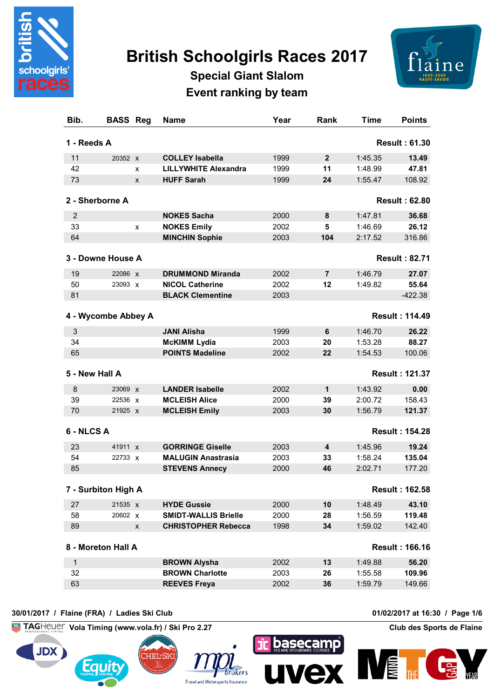

## **British Schoolgirls Races 2017**



**Special Giant Slalom Event ranking by team**

| <b>Points</b>         | <b>Time</b> | Rank           | Year | <b>Name</b>                 |   | <b>BASS Reg</b> | Bib.                |
|-----------------------|-------------|----------------|------|-----------------------------|---|-----------------|---------------------|
| <b>Result: 61.30</b>  |             |                |      |                             |   |                 | 1 - Reeds A         |
| 13.49                 | 1:45.35     | $\mathbf{2}$   | 1999 | <b>COLLEY Isabella</b>      |   | 20352 x         | 11                  |
| 47.81                 | 1:48.99     | 11             | 1999 | <b>LILLYWHITE Alexandra</b> | x |                 | 42                  |
| 108.92                | 1:55.47     | 24             | 1999 | <b>HUFF Sarah</b>           | X |                 | 73                  |
| <b>Result: 62.80</b>  |             |                |      |                             |   |                 | 2 - Sherborne A     |
| 36.68                 | 1:47.81     | 8              | 2000 | <b>NOKES Sacha</b>          |   |                 | 2                   |
| 26.12                 | 1:46.69     | 5              | 2002 | <b>NOKES Emily</b>          | X |                 | 33                  |
| 316.86                | 2:17.52     | 104            | 2003 | <b>MINCHIN Sophie</b>       |   |                 | 64                  |
| <b>Result: 82.71</b>  |             |                |      |                             |   |                 | 3 - Downe House A   |
| 27.07                 | 1:46.79     | $\overline{7}$ | 2002 | <b>DRUMMOND Miranda</b>     |   | 22086 X         | 19                  |
| 55.64                 | 1:49.82     | 12             | 2002 | <b>NICOL Catherine</b>      |   | 23093 X         | 50                  |
| $-422.38$             |             |                | 2003 | <b>BLACK Clementine</b>     |   |                 | 81                  |
| <b>Result: 114.49</b> |             |                |      |                             |   |                 | 4 - Wycombe Abbey A |
| 26.22                 | 1:46.70     | 6              | 1999 | <b>JANI Alisha</b>          |   |                 | 3                   |
| 88.27                 | 1:53.28     | 20             | 2003 | <b>McKIMM Lydia</b>         |   |                 | 34                  |
| 100.06                | 1:54.53     | 22             | 2002 | <b>POINTS Madeline</b>      |   |                 | 65                  |
| <b>Result: 121.37</b> |             |                |      |                             |   |                 | 5 - New Hall A      |
| 0.00                  | 1:43.92     | 1              | 2002 | <b>LANDER Isabelle</b>      |   | 23069 x         | 8                   |
| 158.43                | 2:00.72     | 39             | 2000 | <b>MCLEISH Alice</b>        |   | 22536 x         | 39                  |
| 121.37                | 1:56.79     | 30             | 2003 | <b>MCLEISH Emily</b>        |   | 21925 X         | 70                  |
| <b>Result: 154.28</b> |             |                |      |                             |   |                 | 6 - NLCS A          |
| 19.24                 | 1:45.96     | 4              | 2003 | <b>GORRINGE Giselle</b>     |   | 41911 x         | 23                  |
| 135.04                | 1:58.24     | 33             | 2003 | <b>MALUGIN Anastrasia</b>   |   | 22733 X         | 54                  |
| 177.20                | 2:02.71     | 46             | 2000 | <b>STEVENS Annecy</b>       |   |                 | 85                  |
| <b>Result: 162.58</b> |             |                |      |                             |   |                 | 7 - Surbiton High A |
|                       |             |                |      |                             |   |                 |                     |
| 43.10                 | 1:48.49     | 10             | 2000 | <b>HYDE Gussie</b>          |   | 21535 x         | 27                  |
| 119.48                | 1:56.59     | 28             | 2000 | <b>SMIDT-WALLIS Brielle</b> |   | 20602 x         | 58                  |
| 142.40                | 1:59.02     | 34             | 1998 | <b>CHRISTOPHER Rebecca</b>  | X |                 | 89                  |
| <b>Result: 166.16</b> |             |                |      |                             |   |                 | 8 - Moreton Hall A  |
|                       |             | 13             | 2002 | <b>BROWN Alysha</b>         |   |                 | $\mathbf{1}$        |
| 56.20                 | 1:49.88     |                |      |                             |   |                 |                     |
| 109.96                | 1:55.58     | 26             | 2003 | <b>BROWN Charlotte</b>      |   |                 | 32                  |

## **30/01/2017 / Flaine (FRA) / Ladies Ski Club 01/02/2017 at 16:30 / Page 1/6**

**Vola Timing (www.vola.fr) / Ski Pro 2.27 Club des Sports de Flaine**









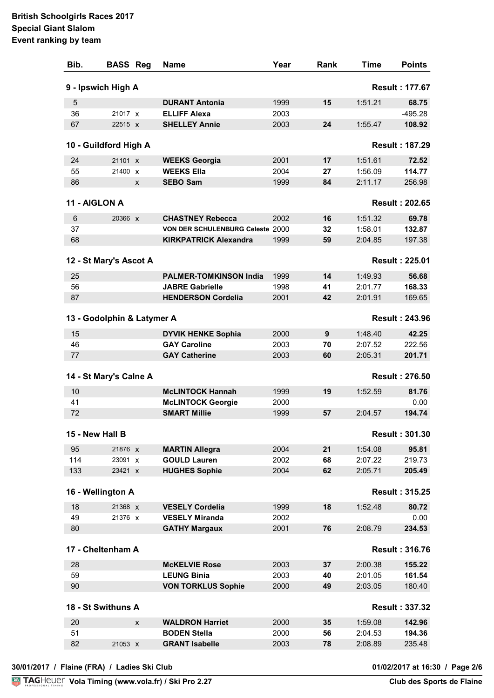## **British Schoolgirls Races 2017 Special Giant Slalom Event ranking by team**

| Bib.      | <b>BASS Reg</b>            |   | <b>Name</b>                                  | Year         | Rank     | Time               | <b>Points</b>         |
|-----------|----------------------------|---|----------------------------------------------|--------------|----------|--------------------|-----------------------|
|           | 9 - Ipswich High A         |   |                                              |              |          |                    | <b>Result: 177.67</b> |
| 5         |                            |   | <b>DURANT Antonia</b>                        | 1999         | 15       | 1:51.21            | 68.75                 |
| 36        | 21017 x                    |   | <b>ELLIFF Alexa</b>                          | 2003         |          |                    | $-495.28$             |
| 67        | 22515 X                    |   | <b>SHELLEY Annie</b>                         | 2003         | 24       | 1:55.47            | 108.92                |
|           | 10 - Guildford High A      |   |                                              |              |          |                    | <b>Result: 187.29</b> |
| 24        | 21101 x                    |   | <b>WEEKS Georgia</b>                         | 2001         | 17       | 1:51.61            | 72.52                 |
| 55        | 21400 X                    |   | <b>WEEKS Ella</b>                            | 2004         | 27       | 1:56.09            | 114.77                |
| 86        |                            | X | <b>SEBO Sam</b>                              | 1999         | 84       | 2:11.17            | 256.98                |
|           | 11 - AIGLON A              |   |                                              |              |          |                    | <b>Result: 202.65</b> |
|           |                            |   |                                              |              |          |                    |                       |
| 6         | 20366 X                    |   | <b>CHASTNEY Rebecca</b>                      | 2002         | 16       | 1:51.32            | 69.78                 |
| 37        |                            |   | VON DER SCHULENBURG Celeste 2000             |              | 32       | 1:58.01            | 132.87                |
| 68        |                            |   | <b>KIRKPATRICK Alexandra</b>                 | 1999         | 59       | 2:04.85            | 197.38                |
|           | 12 - St Mary's Ascot A     |   |                                              |              |          |                    | <b>Result: 225.01</b> |
| 25        |                            |   | <b>PALMER-TOMKINSON India</b>                | 1999         | 14       | 1:49.93            | 56.68                 |
| 56        |                            |   | <b>JABRE Gabrielle</b>                       | 1998         | 41       | 2:01.77            | 168.33                |
| 87        |                            |   | <b>HENDERSON Cordelia</b>                    | 2001         | 42       | 2:01.91            | 169.65                |
|           | 13 - Godolphin & Latymer A |   |                                              |              |          |                    | <b>Result: 243.96</b> |
| 15        |                            |   | <b>DYVIK HENKE Sophia</b>                    | 2000         | 9        | 1:48.40            | 42.25                 |
| 46        |                            |   | <b>GAY Caroline</b>                          | 2003         | 70       | 2:07.52            | 222.56                |
| 77        |                            |   | <b>GAY Catherine</b>                         | 2003         | 60       | 2:05.31            | 201.71                |
|           | 14 - St Mary's Calne A     |   |                                              |              |          |                    | <b>Result: 276.50</b> |
| 10        |                            |   | <b>McLINTOCK Hannah</b>                      | 1999         | 19       | 1:52.59            | 81.76                 |
| 41        |                            |   | <b>McLINTOCK Georgie</b>                     | 2000         |          |                    | 0.00                  |
| 72        |                            |   | <b>SMART Millie</b>                          | 1999         | 57       | 2:04.57            | 194.74                |
|           | 15 - New Hall B            |   |                                              |              |          |                    | <b>Result: 301.30</b> |
|           |                            |   |                                              |              |          |                    |                       |
| 95<br>114 | 21876 x<br>23091 x         |   | <b>MARTIN Allegra</b><br><b>GOULD Lauren</b> | 2004<br>2002 | 21<br>68 | 1:54.08<br>2:07.22 | 95.81<br>219.73       |
| 133       | 23421 X                    |   | <b>HUGHES Sophie</b>                         | 2004         | 62       | 2:05.71            | 205.49                |
|           |                            |   |                                              |              |          |                    |                       |
|           | 16 - Wellington A          |   |                                              |              |          |                    | <b>Result: 315.25</b> |
| 18        | 21368 X                    |   | <b>VESELY Cordelia</b>                       | 1999         | 18       | 1:52.48            | 80.72                 |
| 49        | 21376 X                    |   | <b>VESELY Miranda</b>                        | 2002         |          |                    | 0.00                  |
| 80        |                            |   | <b>GATHY Margaux</b>                         | 2001         | 76       | 2:08.79            | 234.53                |
|           | 17 - Cheltenham A          |   |                                              |              |          |                    | <b>Result: 316.76</b> |
| 28        |                            |   | <b>McKELVIE Rose</b>                         | 2003         | 37       | 2:00.38            | 155.22                |
| 59        |                            |   | <b>LEUNG Binia</b>                           | 2003         | 40       | 2:01.05            | 161.54                |
| 90        |                            |   | <b>VON TORKLUS Sophie</b>                    | 2000         | 49       | 2:03.05            | 180.40                |
|           | 18 - St Swithuns A         |   |                                              |              |          |                    | <b>Result: 337.32</b> |
| 20        |                            | X | <b>WALDRON Harriet</b>                       | 2000         | 35       | 1:59.08            | 142.96                |
| 51        |                            |   | <b>BODEN Stella</b>                          | 2000         | 56       | 2:04.53            | 194.36                |
| 82        | 21053 X                    |   | <b>GRANT Isabelle</b>                        | 2003         | 78       | 2:08.89            | 235.48                |
|           |                            |   |                                              |              |          |                    |                       |

01/02/2017 at 16:30 / Page 2/6<br>Club des Sports de Flaine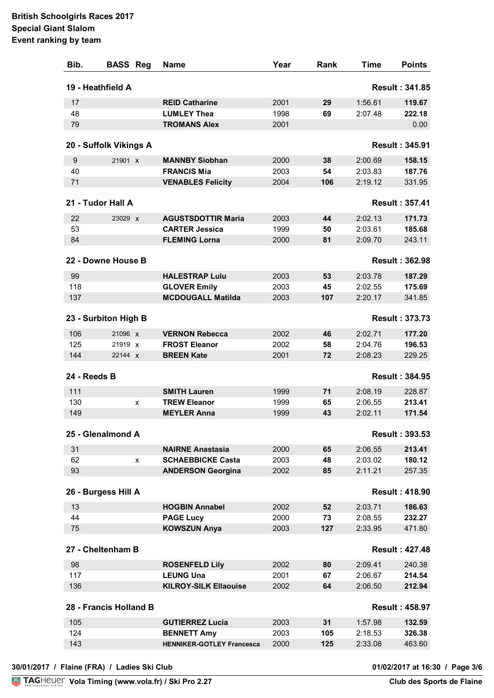| Bib.         | <b>BASS Reg</b>        |   | <b>Name</b>                      | Year | Rank | Time    | <b>Points</b>         |
|--------------|------------------------|---|----------------------------------|------|------|---------|-----------------------|
|              | 19 - Heathfield A      |   |                                  |      |      |         | <b>Result: 341.85</b> |
| 17           |                        |   | <b>REID Catharine</b>            | 2001 | 29   | 1:56.61 | 119.67                |
| 48           |                        |   | <b>LUMLEY Thea</b>               | 1998 | 69   | 2:07.48 | 222.18                |
| 79           |                        |   | <b>TROMANS Alex</b>              | 2001 |      |         | 0.00                  |
|              | 20 - Suffolk Vikings A |   |                                  |      |      |         | <b>Result: 345.91</b> |
| 9            | 21901 X                |   | <b>MANNBY Siobhan</b>            | 2000 | 38   | 2:00.69 | 158.15                |
| 40           |                        |   | <b>FRANCIS Mia</b>               | 2003 | 54   | 2:03.83 | 187.76                |
| 71           |                        |   | <b>VENABLES Felicity</b>         | 2004 | 106  | 2:19.12 | 331.95                |
|              | 21 - Tudor Hall A      |   |                                  |      |      |         | <b>Result: 357.41</b> |
| 22           | 23029 X                |   | <b>AGUSTSDOTTIR Maria</b>        | 2003 | 44   | 2:02.13 | 171.73                |
| 53           |                        |   | <b>CARTER Jessica</b>            | 1999 | 50   | 2:03.61 | 185.68                |
| 84           |                        |   | <b>FLEMING Lorna</b>             | 2000 | 81   | 2:09.70 | 243.11                |
|              | 22 - Downe House B     |   |                                  |      |      |         | <b>Result: 362.98</b> |
| 99           |                        |   | <b>HALESTRAP Lulu</b>            | 2003 | 53   | 2:03.78 | 187.29                |
| 118          |                        |   | <b>GLOVER Emily</b>              | 2003 | 45   | 2:02.55 | 175.69                |
| 137          |                        |   | <b>MCDOUGALL Matilda</b>         | 2003 | 107  | 2:20.17 | 341.85                |
|              |                        |   |                                  |      |      |         |                       |
|              | 23 - Surbiton High B   |   |                                  |      |      |         | <b>Result: 373.73</b> |
| 106          | 21096 x                |   | <b>VERNON Rebecca</b>            | 2002 | 46   | 2:02.71 | 177.20                |
| 125          | 21919 X                |   | <b>FROST Eleanor</b>             | 2002 | 58   | 2:04.76 | 196.53                |
| 144          | 22144 X                |   | <b>BREEN Kate</b>                | 2001 | 72   | 2:08.23 | 229.25                |
| 24 - Reeds B |                        |   |                                  |      |      |         | <b>Result: 384.95</b> |
| 111          |                        |   | <b>SMITH Lauren</b>              | 1999 | 71   | 2:08.19 | 228.87                |
| 130          |                        | X | <b>TREW Eleanor</b>              | 1999 | 65   | 2:06.55 | 213.41                |
| 149          |                        |   | <b>MEYLER Anna</b>               | 1999 | 43   | 2:02.11 | 171.54                |
|              | 25 - Glenalmond A      |   |                                  |      |      |         | <b>Result: 393.53</b> |
| 31           |                        |   | <b>NAIRNE Anastasia</b>          | 2000 | 65   | 2:06.55 | 213.41                |
| 62           |                        | X | <b>SCHAEBBICKE Casta</b>         | 2003 | 48   | 2:03.02 | 180.12                |
| 93           |                        |   | <b>ANDERSON Georgina</b>         | 2002 | 85   | 2:11.21 | 257.35                |
|              | 26 - Burgess Hill A    |   |                                  |      |      |         | <b>Result: 418.90</b> |
| 13           |                        |   | <b>HOGBIN Annabel</b>            | 2002 | 52   | 2:03.71 | 186.63                |
| 44           |                        |   | <b>PAGE Lucy</b>                 | 2000 | 73   | 2:08.55 | 232.27                |
| 75           |                        |   | <b>KOWSZUN Anya</b>              | 2003 | 127  | 2:33.95 | 471.80                |
|              | 27 - Cheltenham B      |   |                                  |      |      |         | <b>Result: 427.48</b> |
| 98           |                        |   | <b>ROSENFELD Lily</b>            | 2002 | 80   | 2:09.41 | 240.38                |
| 117          |                        |   | <b>LEUNG Una</b>                 | 2001 | 67   | 2:06.67 | 214.54                |
| 136          |                        |   | <b>KILROY-SILK Ellaouise</b>     | 2002 | 64   | 2:06.50 | 212.94                |
|              | 28 - Francis Holland B |   |                                  |      |      |         | <b>Result: 458.97</b> |
|              |                        |   |                                  |      |      |         |                       |
| 105          |                        |   | <b>GUTIERREZ Lucia</b>           | 2003 | 31   | 1:57.98 | 132.59                |
| 124          |                        |   | <b>BENNETT Amy</b>               | 2003 | 105  | 2:18.53 | 326.38                |
| 143          |                        |   | <b>HENNIKER-GOTLEY Francesca</b> | 2000 | 125  | 2:33.08 | 463.60                |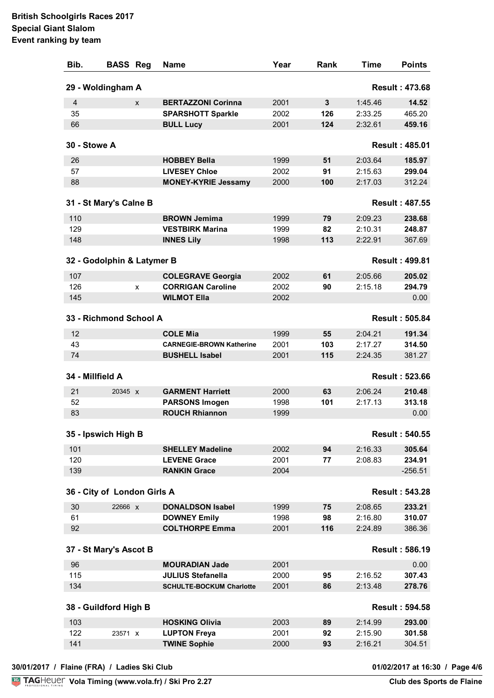## **British Schoolgirls Races 2017 Special Giant Slalom Event ranking by team**

| Bib.         | <b>BASS Reg</b>             |   | <b>Name</b>                                | Year | Rank | Time    | <b>Points</b>         |
|--------------|-----------------------------|---|--------------------------------------------|------|------|---------|-----------------------|
|              | 29 - Woldingham A           |   |                                            |      |      |         | <b>Result: 473.68</b> |
| 4            |                             | X | <b>BERTAZZONI Corinna</b>                  | 2001 | 3    | 1:45.46 | 14.52                 |
| 35           |                             |   | <b>SPARSHOTT Sparkle</b>                   | 2002 | 126  | 2:33.25 | 465.20                |
| 66           |                             |   | <b>BULL Lucy</b>                           | 2001 | 124  | 2:32.61 | 459.16                |
| 30 - Stowe A |                             |   |                                            |      |      |         | <b>Result: 485.01</b> |
| 26           |                             |   | <b>HOBBEY Bella</b>                        | 1999 | 51   | 2:03.64 | 185.97                |
| 57           |                             |   | <b>LIVESEY Chloe</b>                       | 2002 | 91   | 2:15.63 | 299.04                |
| 88           |                             |   | <b>MONEY-KYRIE Jessamy</b>                 | 2000 | 100  | 2:17.03 | 312.24                |
|              | 31 - St Mary's Calne B      |   |                                            |      |      |         | <b>Result: 487.55</b> |
|              |                             |   |                                            |      |      |         |                       |
| 110          |                             |   | <b>BROWN Jemima</b>                        | 1999 | 79   | 2:09.23 | 238.68                |
| 129          |                             |   | <b>VESTBIRK Marina</b>                     | 1999 | 82   | 2:10.31 | 248.87                |
| 148          |                             |   | <b>INNES Lily</b>                          | 1998 | 113  | 2:22.91 | 367.69                |
|              | 32 - Godolphin & Latymer B  |   |                                            |      |      |         | <b>Result: 499.81</b> |
| 107          |                             |   | <b>COLEGRAVE Georgia</b>                   | 2002 | 61   | 2:05.66 | 205.02                |
| 126          |                             | X | <b>CORRIGAN Caroline</b>                   | 2002 | 90   | 2:15.18 | 294.79                |
| 145          |                             |   | <b>WILMOT Ella</b>                         | 2002 |      |         | 0.00                  |
|              | 33 - Richmond School A      |   |                                            |      |      |         | <b>Result: 505.84</b> |
| 12           |                             |   | <b>COLE Mia</b>                            | 1999 | 55   | 2:04.21 | 191.34                |
| 43           |                             |   | <b>CARNEGIE-BROWN Katherine</b>            | 2001 | 103  | 2:17.27 | 314.50                |
| 74           |                             |   | <b>BUSHELL Isabel</b>                      | 2001 | 115  | 2:24.35 | 381.27                |
|              | 34 - Millfield A            |   |                                            |      |      |         | <b>Result: 523.66</b> |
| 21           | 20345 X                     |   | <b>GARMENT Harriett</b>                    | 2000 | 63   | 2:06.24 | 210.48                |
| 52           |                             |   | <b>PARSONS Imogen</b>                      | 1998 | 101  | 2:17.13 | 313.18                |
| 83           |                             |   | <b>ROUCH Rhiannon</b>                      | 1999 |      |         | 0.00                  |
|              |                             |   |                                            |      |      |         |                       |
|              | 35 - Ipswich High B         |   |                                            |      |      |         | <b>Result: 540.55</b> |
| 101          |                             |   | <b>SHELLEY Madeline</b>                    | 2002 | 94   | 2:16.33 | 305.64                |
| 120          |                             |   | <b>LEVENE Grace</b>                        | 2001 | 77   | 2:08.83 | 234.91                |
| 139          |                             |   | <b>RANKIN Grace</b>                        | 2004 |      |         | $-256.51$             |
|              | 36 - City of London Girls A |   |                                            |      |      |         | <b>Result: 543.28</b> |
| 30           | 22666 x                     |   | <b>DONALDSON Isabel</b>                    | 1999 | 75   | 2:08.65 | 233.21                |
| 61           |                             |   | <b>DOWNEY Emily</b>                        | 1998 | 98   | 2:16.80 | 310.07                |
| 92           |                             |   | <b>COLTHORPE Emma</b>                      | 2001 | 116  | 2:24.89 | 386.36                |
|              | 37 - St Mary's Ascot B      |   |                                            |      |      |         | <b>Result: 586.19</b> |
| 96           |                             |   | <b>MOURADIAN Jade</b>                      | 2001 |      |         | 0.00                  |
| 115          |                             |   | <b>JULIUS Stefanella</b>                   | 2000 | 95   | 2:16.52 | 307.43                |
| 134          |                             |   | <b>SCHULTE-BOCKUM Charlotte</b>            | 2001 | 86   | 2:13.48 | 278.76                |
|              | 38 - Guildford High B       |   |                                            |      |      |         | <b>Result: 594.58</b> |
|              |                             |   |                                            |      |      |         |                       |
| 103          |                             |   | <b>HOSKING Olivia</b>                      | 2003 | 89   | 2:14.99 | 293.00                |
| 122<br>141   | 23571 x                     |   | <b>LUPTON Freya</b><br><b>TWINE Sophie</b> | 2001 | 92   | 2:15.90 | 301.58<br>304.51      |
|              |                             |   |                                            | 2000 | 93   | 2:16.21 |                       |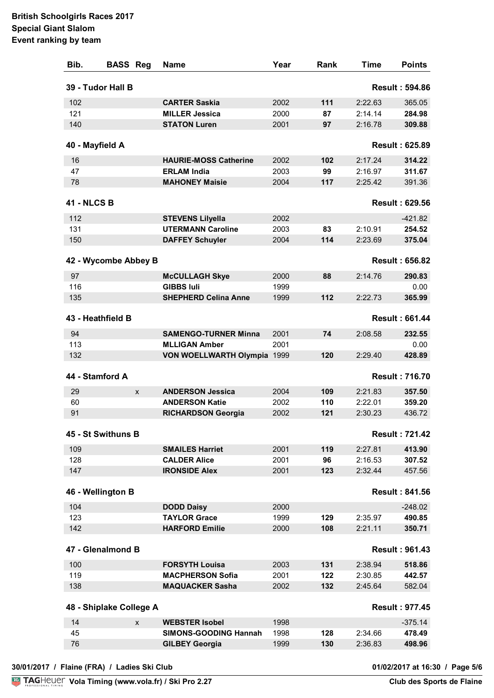| Bib.               | <b>BASS Reg</b>         | <b>Name</b>                  | Year | Rank | <b>Time</b> | <b>Points</b>         |
|--------------------|-------------------------|------------------------------|------|------|-------------|-----------------------|
|                    | 39 - Tudor Hall B       |                              |      |      |             | <b>Result: 594.86</b> |
| 102                |                         | <b>CARTER Saskia</b>         | 2002 | 111  | 2:22.63     | 365.05                |
| 121                |                         | <b>MILLER Jessica</b>        | 2000 | 87   | 2:14.14     | 284.98                |
| 140                |                         | <b>STATON Luren</b>          | 2001 | 97   | 2:16.78     | 309.88                |
| 40 - Mayfield A    |                         |                              |      |      |             | <b>Result: 625.89</b> |
| 16                 |                         | <b>HAURIE-MOSS Catherine</b> | 2002 | 102  | 2:17.24     | 314.22                |
| 47                 |                         | <b>ERLAM India</b>           | 2003 | 99   | 2:16.97     | 311.67                |
| 78                 |                         | <b>MAHONEY Maisie</b>        | 2004 | 117  | 2:25.42     | 391.36                |
| <b>41 - NLCS B</b> |                         |                              |      |      |             | <b>Result: 629.56</b> |
|                    |                         |                              |      |      |             |                       |
| 112                |                         | <b>STEVENS Lilyella</b>      | 2002 |      |             | $-421.82$             |
| 131                |                         | <b>UTERMANN Caroline</b>     | 2003 | 83   | 2:10.91     | 254.52                |
| 150                |                         | <b>DAFFEY Schuyler</b>       | 2004 | 114  | 2:23.69     | 375.04                |
|                    | 42 - Wycombe Abbey B    |                              |      |      |             | <b>Result: 656.82</b> |
| 97                 |                         | <b>McCULLAGH Skye</b>        | 2000 | 88   | 2:14.76     | 290.83                |
| 116                |                         | <b>GIBBS Iuli</b>            | 1999 |      |             | 0.00                  |
| 135                |                         | <b>SHEPHERD Celina Anne</b>  | 1999 | 112  | 2:22.73     | 365.99                |
|                    | 43 - Heathfield B       |                              |      |      |             | <b>Result: 661.44</b> |
|                    |                         |                              |      |      |             |                       |
| 94                 |                         | <b>SAMENGO-TURNER Minna</b>  | 2001 | 74   | 2:08.58     | 232.55                |
| 113                |                         | <b>MLLIGAN Amber</b>         | 2001 | 120  |             | 0.00                  |
| 132                |                         | VON WOELLWARTH Olympia 1999  |      |      | 2:29.40     | 428.89                |
|                    | 44 - Stamford A         |                              |      |      |             | <b>Result: 716.70</b> |
| 29                 | X                       | <b>ANDERSON Jessica</b>      | 2004 | 109  | 2:21.83     | 357.50                |
| 60                 |                         | <b>ANDERSON Katie</b>        | 2002 | 110  | 2:22.01     | 359.20                |
| 91                 |                         | <b>RICHARDSON Georgia</b>    | 2002 | 121  | 2:30.23     | 436.72                |
|                    | 45 - St Swithuns B      |                              |      |      |             | <b>Result: 721.42</b> |
| 109                |                         | <b>SMAILES Harriet</b>       | 2001 | 119  | 2:27.81     | 413.90                |
| 128                |                         | <b>CALDER Alice</b>          | 2001 | 96   | 2:16.53     | 307.52                |
| 147                |                         | <b>IRONSIDE Alex</b>         | 2001 | 123  | 2:32.44     | 457.56                |
|                    | 46 - Wellington B       |                              |      |      |             | <b>Result: 841.56</b> |
| 104                |                         | <b>DODD Daisy</b>            | 2000 |      |             | $-248.02$             |
| 123                |                         | <b>TAYLOR Grace</b>          | 1999 | 129  | 2:35.97     | 490.85                |
| 142                |                         | <b>HARFORD Emilie</b>        | 2000 | 108  | 2:21.11     | 350.71                |
|                    |                         |                              |      |      |             |                       |
|                    | 47 - Glenalmond B       |                              |      |      |             | <b>Result: 961.43</b> |
| 100                |                         | <b>FORSYTH Louisa</b>        | 2003 | 131  | 2:38.94     | 518.86                |
| 119                |                         | <b>MACPHERSON Sofia</b>      | 2001 | 122  | 2:30.85     | 442.57                |
| 138                |                         | <b>MAQUACKER Sasha</b>       | 2002 | 132  | 2:45.64     | 582.04                |
|                    | 48 - Shiplake College A |                              |      |      |             | <b>Result: 977.45</b> |
| 14                 | X                       | <b>WEBSTER Isobel</b>        | 1998 |      |             | $-375.14$             |
| 45                 |                         | <b>SIMONS-GOODING Hannah</b> | 1998 | 128  | 2:34.66     | 478.49                |
| 76                 |                         | <b>GILBEY Georgia</b>        | 1999 | 130  | 2:36.83     | 498.96                |